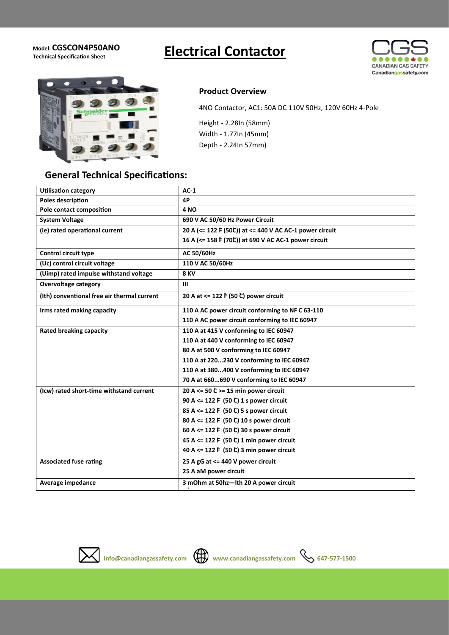**Model: CGSCON4P50ANO** 

# **Electrical Contactor**





## **General Technical Specifications:**

#### **Product Overview**

4NO Contactor, AC1: 50A DC 110V 50Hz, 120V 60Hz 4-Pole

Height - 2.28In (58mm) Width - 1.77In (45mm) Depth - 2.24In 57mm)

| <b>Utilisation category</b>                 | $AC-1$                                                  |
|---------------------------------------------|---------------------------------------------------------|
| <b>Poles description</b>                    | 4P                                                      |
| Pole contact composition                    | <b>4 NO</b>                                             |
| <b>System Voltage</b>                       | 690 V AC 50/60 Hz Power Circuit                         |
| (ie) rated operational current              | 20 A (<= 122 F (50C)) at <= 440 V AC AC-1 power circuit |
|                                             | 16 A (<= 158 F (70°)) at 690 V AC AC-1 power circuit    |
| <b>Control circuit type</b>                 | <b>AC 50/60Hz</b>                                       |
| (Uc) control circuit voltage                | 110 V AC 50/60Hz                                        |
| (Uimp) rated impulse withstand voltage      | <b>8 KV</b>                                             |
| <b>Overvoltage category</b>                 | Ш                                                       |
| (Ith) conventional free air thermal current | 20 A at <= 122 F (50 C) power circuit                   |
| Irms rated making capacity                  | 110 A AC power circuit conforming to NF C 63-110        |
|                                             | 110 A AC power circuit conforming to IEC 60947          |
| <b>Rated breaking capacity</b>              | 110 A at 415 V conforming to IEC 60947                  |
|                                             | 110 A at 440 V conforming to IEC 60947                  |
|                                             | 80 A at 500 V conforming to IEC 60947                   |
|                                             | 110 A at 220230 V conforming to IEC 60947               |
|                                             | 110 A at 380400 V conforming to IEC 60947               |
|                                             | 70 A at 660690 V conforming to IEC 60947                |
| (Icw) rated short-time withstand current    | 20 A <= 50 $C$ >= 15 min power circuit                  |
|                                             | 90 A <= 122 F (50 C) 1 s power circuit                  |
|                                             | 85 A <= 122 F (50 C) 5 s power circuit                  |
|                                             | 80 A <= 122 F (50 C) 10 s power circuit                 |
|                                             | 60 A <= 122 F (50 C) 30 s power circuit                 |
|                                             | 45 A <= 122 F (50 ℃) 1 min power circuit                |
|                                             | 40 A <= 122 F (50 ℃) 3 min power circuit                |
| <b>Associated fuse rating</b>               | 25 A gG at <= 440 V power circuit                       |
|                                             | 25 A aM power circuit                                   |
| Average impedance                           | 3 mOhm at 50hz-Ith 20 A power circuit                   |
|                                             |                                                         |



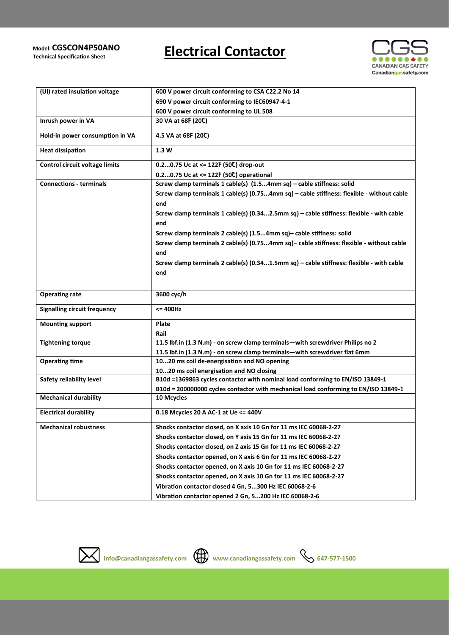#### **Model: AGST CGSCON4P50ANO**

**Technical Specification Sheet**

# **Electrical Contactor**



| (UI) rated insulation voltage       | 600 V power circuit conforming to CSA C22.2 No 14                                                 |
|-------------------------------------|---------------------------------------------------------------------------------------------------|
|                                     | 690 V power circuit conforming to IEC60947-4-1                                                    |
|                                     | 600 V power circuit conforming to UL 508                                                          |
| Inrush power in VA                  | 30 VA at 68F (20C)                                                                                |
| Hold-in power consumption in VA     | 4.5 VA at 68F (20C)                                                                               |
| <b>Heat dissipation</b>             | 1.3 W                                                                                             |
| Control circuit voltage limits      | 0.20.75 Uc at <= 122F (50C) drop-out                                                              |
|                                     | 0.20.75 Uc at <= 122F (50C) operational                                                           |
| <b>Connections - terminals</b>      | Screw clamp terminals 1 cable(s) (1.54mm sq) - cable stiffness: solid                             |
|                                     | Screw clamp terminals 1 cable(s) (0.754mm sq) - cable stiffness: flexible - without cable<br>end  |
|                                     | Screw clamp terminals 1 cable(s) (0.342.5mm sq) - cable stiffness: flexible - with cable          |
|                                     | end                                                                                               |
|                                     | Screw clamp terminals 2 cable(s) (1.54mm sq) - cable stiffness: solid                             |
|                                     | Screw clamp terminals 2 cable(s) (0.754mm sq) - cable stiffness: flexible - without cable         |
|                                     | end                                                                                               |
|                                     | Screw clamp terminals 2 cable(s) $(0.341.5mm sq)$ – cable stiffness: flexible - with cable<br>end |
| <b>Operating rate</b>               | 3600 cyc/h                                                                                        |
| <b>Signalling circuit frequency</b> | <= 400Hz                                                                                          |
| <b>Mounting support</b>             | Plate                                                                                             |
|                                     | Rail                                                                                              |
| <b>Tightening torque</b>            | 11.5 lbf.in (1.3 N.m) - on screw clamp terminals-with screwdriver Philips no 2                    |
|                                     | 11.5 lbf.in (1.3 N.m) - on screw clamp terminals - with screwdriver flat 6mm                      |
| <b>Operating time</b>               | 1020 ms coil de-energisation and NO opening                                                       |
|                                     | 1020 ms coil energisation and NO closing                                                          |
| Safety reliability level            | B10d =1369863 cycles contactor with nominal load conforming to EN/ISO 13849-1                     |
|                                     | B10d = 200000000 cycles contactor with mechanical load conforming to EN/ISO 13849-1               |
| <b>Mechanical durability</b>        | 10 Mcycles                                                                                        |
| <b>Electrical durability</b>        | 0.18 Mcycles 20 A AC-1 at Ue <= 440V                                                              |
| <b>Mechanical robustness</b>        | Shocks contactor closed, on X axis 10 Gn for 11 ms IEC 60068-2-27                                 |
|                                     | Shocks contactor closed, on Y axis 15 Gn for 11 ms IEC 60068-2-27                                 |
|                                     | Shocks contactor closed, on Z axis 15 Gn for 11 ms IEC 60068-2-27                                 |
|                                     | Shocks contactor opened, on X axis 6 Gn for 11 ms IEC 60068-2-27                                  |
|                                     | Shocks contactor opened, on X axis 10 Gn for 11 ms IEC 60068-2-27                                 |
|                                     | Shocks contactor opened, on X axis 10 Gn for 11 ms IEC 60068-2-27                                 |
|                                     | Vibration contactor closed 4 Gn, 5300 Hz IEC 60068-2-6                                            |
|                                     | Vibration contactor opened 2 Gn, 5200 Hz IEC 60068-2-6                                            |